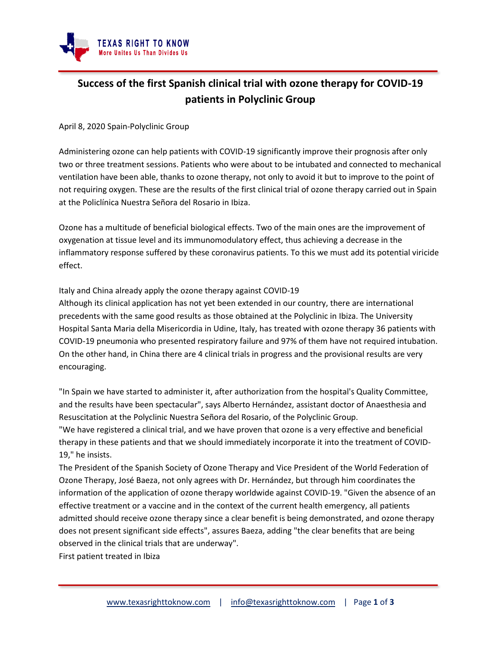

## **Success of the first Spanish clinical trial with ozone therapy for COVID-19 patients in Polyclinic Group**

April 8, 2020 Spain-Polyclinic Group

Administering ozone can help patients with COVID-19 significantly improve their prognosis after only two or three treatment sessions. Patients who were about to be intubated and connected to mechanical ventilation have been able, thanks to ozone therapy, not only to avoid it but to improve to the point of not requiring oxygen. These are the results of the first clinical trial of ozone therapy carried out in Spain at the Policlínica Nuestra Señora del Rosario in Ibiza.

Ozone has a multitude of beneficial biological effects. Two of the main ones are the improvement of oxygenation at tissue level and its immunomodulatory effect, thus achieving a decrease in the inflammatory response suffered by these coronavirus patients. To this we must add its potential viricide effect.

Italy and China already apply the ozone therapy against COVID-19

Although its clinical application has not yet been extended in our country, there are international precedents with the same good results as those obtained at the Polyclinic in Ibiza. The University Hospital Santa Maria della Misericordia in Udine, Italy, has treated with ozone therapy 36 patients with COVID-19 pneumonia who presented respiratory failure and 97% of them have not required intubation. On the other hand, in China there are 4 clinical trials in progress and the provisional results are very encouraging.

"In Spain we have started to administer it, after authorization from the hospital's Quality Committee, and the results have been spectacular", says Alberto Hernández, assistant doctor of Anaesthesia and Resuscitation at the Polyclinic Nuestra Señora del Rosario, of the Polyclinic Group.

"We have registered a clinical trial, and we have proven that ozone is a very effective and beneficial therapy in these patients and that we should immediately incorporate it into the treatment of COVID-19," he insists.

The President of the Spanish Society of Ozone Therapy and Vice President of the World Federation of Ozone Therapy, José Baeza, not only agrees with Dr. Hernández, but through him coordinates the information of the application of ozone therapy worldwide against COVID-19. "Given the absence of an effective treatment or a vaccine and in the context of the current health emergency, all patients admitted should receive ozone therapy since a clear benefit is being demonstrated, and ozone therapy does not present significant side effects", assures Baeza, adding "the clear benefits that are being observed in the clinical trials that are underway".

First patient treated in Ibiza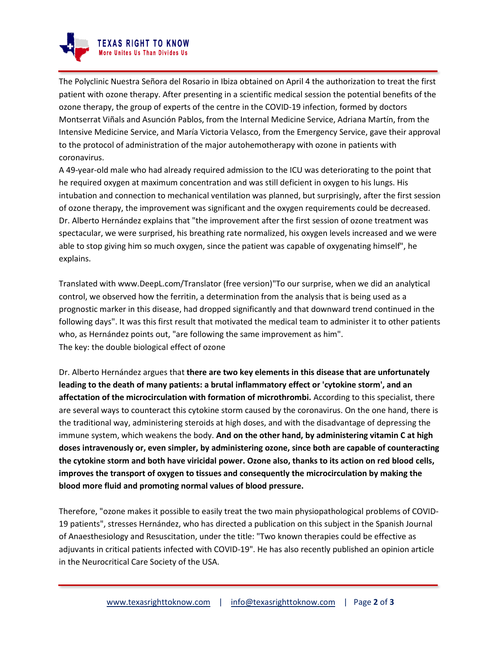

The Polyclinic Nuestra Señora del Rosario in Ibiza obtained on April 4 the authorization to treat the first patient with ozone therapy. After presenting in a scientific medical session the potential benefits of the ozone therapy, the group of experts of the centre in the COVID-19 infection, formed by doctors Montserrat Viñals and Asunción Pablos, from the Internal Medicine Service, Adriana Martín, from the Intensive Medicine Service, and María Victoria Velasco, from the Emergency Service, gave their approval to the protocol of administration of the major autohemotherapy with ozone in patients with coronavirus.

A 49-year-old male who had already required admission to the ICU was deteriorating to the point that he required oxygen at maximum concentration and was still deficient in oxygen to his lungs. His intubation and connection to mechanical ventilation was planned, but surprisingly, after the first session of ozone therapy, the improvement was significant and the oxygen requirements could be decreased. Dr. Alberto Hernández explains that "the improvement after the first session of ozone treatment was spectacular, we were surprised, his breathing rate normalized, his oxygen levels increased and we were able to stop giving him so much oxygen, since the patient was capable of oxygenating himself", he explains.

Translated with www.DeepL.com/Translator (free version)"To our surprise, when we did an analytical control, we observed how the ferritin, a determination from the analysis that is being used as a prognostic marker in this disease, had dropped significantly and that downward trend continued in the following days". It was this first result that motivated the medical team to administer it to other patients who, as Hernández points out, "are following the same improvement as him". The key: the double biological effect of ozone

Dr. Alberto Hernández argues that **there are two key elements in this disease that are unfortunately leading to the death of many patients: a brutal inflammatory effect or 'cytokine storm', and an affectation of the microcirculation with formation of microthrombi.** According to this specialist, there are several ways to counteract this cytokine storm caused by the coronavirus. On the one hand, there is the traditional way, administering steroids at high doses, and with the disadvantage of depressing the immune system, which weakens the body. **And on the other hand, by administering vitamin C at high doses intravenously or, even simpler, by administering ozone, since both are capable of counteracting the cytokine storm and both have viricidal power. Ozone also, thanks to its action on red blood cells, improves the transport of oxygen to tissues and consequently the microcirculation by making the blood more fluid and promoting normal values of blood pressure.**

Therefore, "ozone makes it possible to easily treat the two main physiopathological problems of COVID-19 patients", stresses Hernández, who has directed a publication on this subject in the Spanish Journal of Anaesthesiology and Resuscitation, under the title: "Two known therapies could be effective as adjuvants in critical patients infected with COVID-19". He has also recently published an opinion article in the Neurocritical Care Society of the USA.